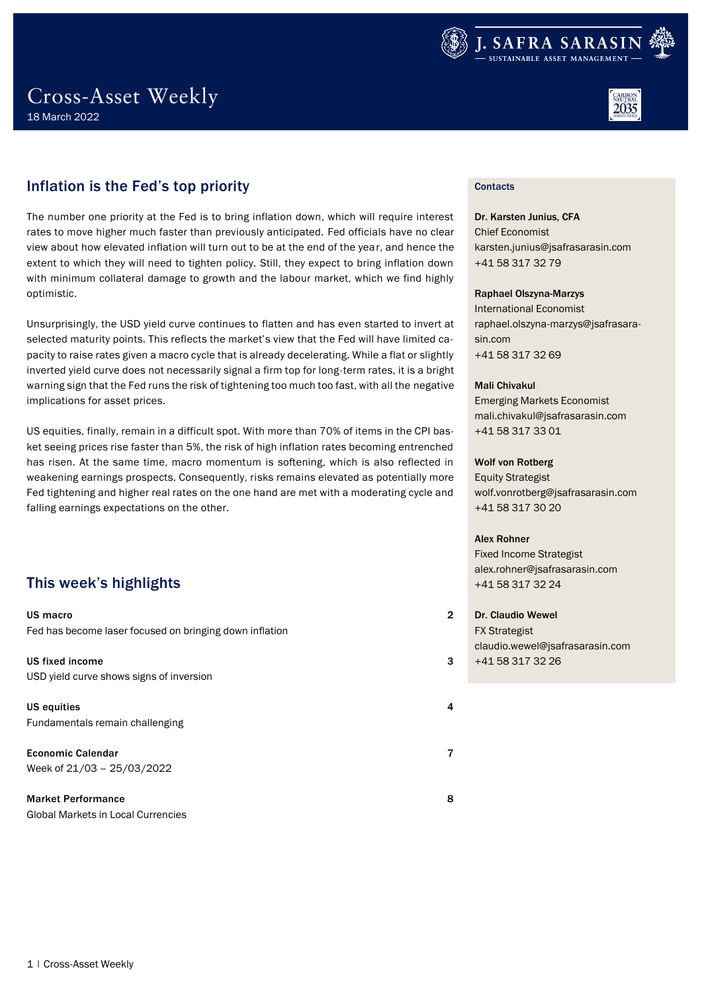



## Inflation is the Fed's top priority

The number one priority at the Fed is to bring inflation down, which will require interest rates to move higher much faster than previously anticipated. Fed officials have no clear view about how elevated inflation will turn out to be at the end of the year, and hence the extent to which they will need to tighten policy. Still, they expect to bring inflation down with minimum collateral damage to growth and the labour market, which we find highly optimistic.

Unsurprisingly, the USD yield curve continues to flatten and has even started to invert at selected maturity points. This reflects the market's view that the Fed will have limited capacity to raise rates given a macro cycle that is already decelerating. While a flat or slightly inverted yield curve does not necessarily signal a firm top for long-term rates, it is a bright warning sign that the Fed runs the risk of tightening too much too fast, with all the negative implications for asset prices.

US equities, finally, remain in a difficult spot. With more than 70% of items in the CPI basket seeing prices rise faster than 5%, the risk of high inflation rates becoming entrenched has risen. At the same time, macro momentum is softening, which is also reflected in weakening earnings prospects. Consequently, risks remains elevated as potentially more Fed tightening and higher real rates on the one hand are met with a moderating cycle and falling earnings expectations on the other.

## This week's highlights

[US macro](#page-1-0) 2 [Fed has become laser focused on bringing down inflation](#page-1-1) [US fixed income](#page-2-0) 3 [USD yield curve shows signs of inversion](#page-2-1) [US equities](#page-3-0) 4 [Fundamentals remain challenging](#page-3-1) [Economic Calendar](#page-6-0) 7 [Week of 21/03](#page-6-1) – 25/03/2022 [Market Performance](#page-7-0) 8

[Global Markets in Local Currencies](#page-7-1)

## **Contacts**

Dr. Karsten Junius, CFA Chief Economist karsten.junius@jsafrasarasin.com +41 58 317 32 79

### Raphael Olszyna-Marzys

International Economist raphael.olszyna-marzys@jsafrasarasin.com +41 58 317 32 69

### Mali Chivakul

Emerging Markets Economist mali.chivakul@jsafrasarasin.com +41 58 317 33 01

### Wolf von Rotberg

Equity Strategist wolf.vonrotberg@jsafrasarasin.com +41 58 317 30 20

### Alex Rohner

Fixed Income Strategist alex.rohner@jsafrasarasin.com +41 58 317 32 24

Dr. Claudio Wewel FX Strategist claudio.wewel@jsafrasarasin.com +41 58 317 32 26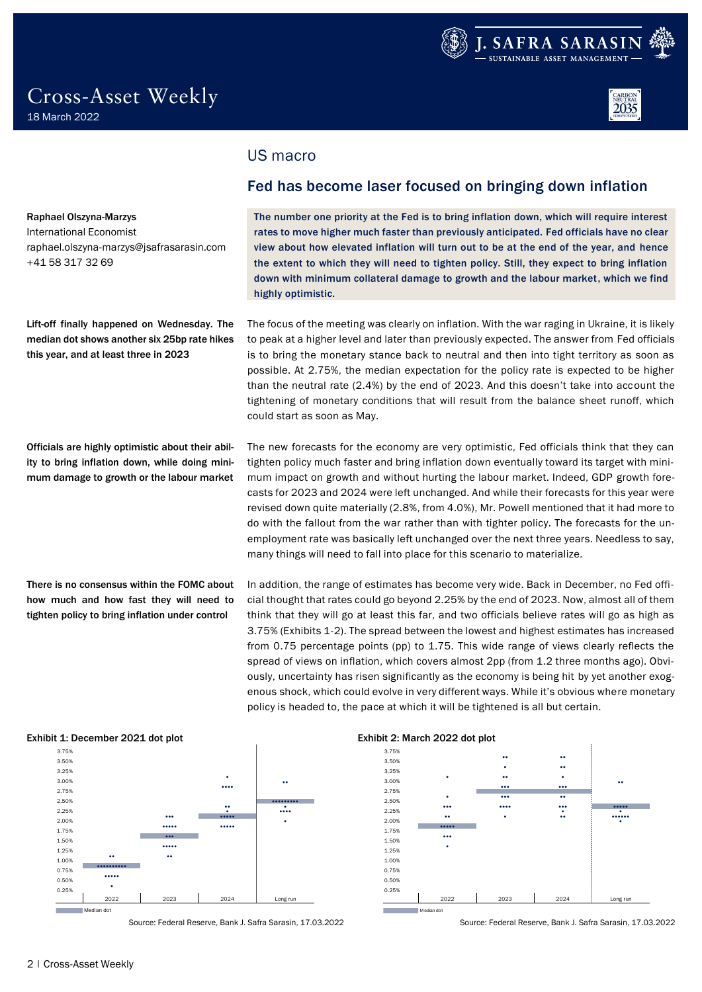



raphael.olszyna-marzys@jsafrasarasin.com

Lift-off finally happened on Wednesday. The median dot shows another six 25bp rate hikes

Officials are highly optimistic about their ability to bring inflation down, while doing minimum damage to growth or the labour market

There is no consensus within the FOMC about how much and how fast they will need to tighten policy to bring inflation under control

this year, and at least three in 2023

Raphael Olszyna-Marzys International Economist

+41 58 317 32 69

## <span id="page-1-0"></span>US macro

## <span id="page-1-1"></span>Fed has become laser focused on bringing down inflation

The number one priority at the Fed is to bring inflation down, which will require interest rates to move higher much faster than previously anticipated. Fed officials have no clear view about how elevated inflation will turn out to be at the end of the year, and hence the extent to which they will need to tighten policy. Still, they expect to bring inflation down with minimum collateral damage to growth and the labour market, which we find highly optimistic.

The focus of the meeting was clearly on inflation. With the war raging in Ukraine, it is likely to peak at a higher level and later than previously expected. The answer from Fed officials is to bring the monetary stance back to neutral and then into tight territory as soon as possible. At 2.75%, the median expectation for the policy rate is expected to be higher than the neutral rate (2.4%) by the end of 2023. And this doesn't take into account the tightening of monetary conditions that will result from the balance sheet runoff, which could start as soon as May.

The new forecasts for the economy are very optimistic, Fed officials think that they can tighten policy much faster and bring inflation down eventually toward its target with minimum impact on growth and without hurting the labour market. Indeed, GDP growth forecasts for 2023 and 2024 were left unchanged. And while their forecasts for this year were revised down quite materially (2.8%, from 4.0%), Mr. Powell mentioned that it had more to do with the fallout from the war rather than with tighter policy. The forecasts for the unemployment rate was basically left unchanged over the next three years. Needless to say, many things will need to fall into place for this scenario to materialize.

In addition, the range of estimates has become very wide. Back in December, no Fed official thought that rates could go beyond 2.25% by the end of 2023. Now, almost all of them think that they will go at least this far, and two officials believe rates will go as high as 3.75% (Exhibits 1-2). The spread between the lowest and highest estimates has increased from 0.75 percentage points (pp) to 1.75. This wide range of views clearly reflects the spread of views on inflation, which covers almost 2pp (from 1.2 three months ago). Obviously, uncertainty has risen significantly as the economy is being hit by yet another exogenous shock, which could evolve in very different ways. While it's obvious where monetary policy is headed to, the pace at which it will be tightened is all but certain.



Source: Federal Reserve, Bank J. Safra Sarasin, 17.03.2022 Source: Federal Reserve, Bank J. Safra Sarasin, 17.03.2022

### Exhibit 1: December 2021 dot plot Exhibit 2: March 2022 dot plot

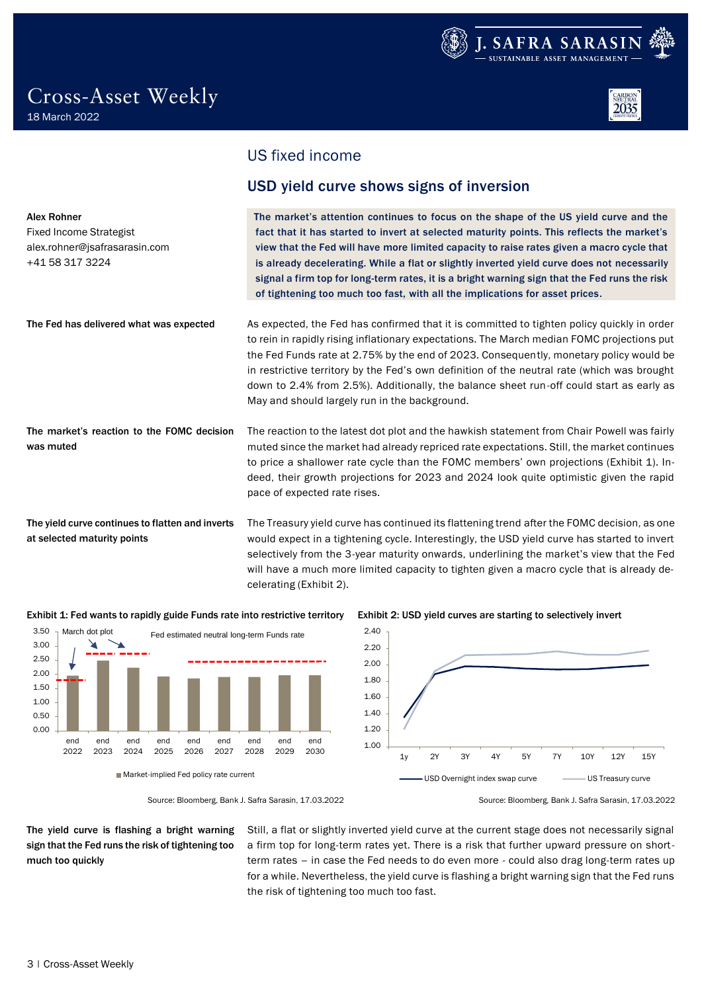

Alex Rohner

Fixed Income Strategist alex.rohner@jsafrasarasin.com

at selected maturity points

+41 58 317 3224



## <span id="page-2-0"></span>US fixed income

## <span id="page-2-1"></span>USD yield curve shows signs of inversion

The market's attention continues to focus on the shape of the US yield curve and the fact that it has started to invert at selected maturity points. This reflects the market's view that the Fed will have more limited capacity to raise rates given a macro cycle that is already decelerating. While a flat or slightly inverted yield curve does not necessarily signal a firm top for long-term rates, it is a bright warning sign that the Fed runs the risk of tightening too much too fast, with all the implications for asset prices.

As expected, the Fed has confirmed that it is committed to tighten policy quickly in order to rein in rapidly rising inflationary expectations. The March median FOMC projections put the Fed Funds rate at 2.75% by the end of 2023. Consequently, monetary policy would be in restrictive territory by the Fed's own definition of the neutral rate (which was brought down to 2.4% from 2.5%). Additionally, the balance sheet run-off could start as early as May and should largely run in the background. The Fed has delivered what was expected

The reaction to the latest dot plot and the hawkish statement from Chair Powell was fairly muted since the market had already repriced rate expectations. Still, the market continues to price a shallower rate cycle than the FOMC members' own projections (Exhibit 1). Indeed, their growth projections for 2023 and 2024 look quite optimistic given the rapid pace of expected rate rises. The market's reaction to the FOMC decision was muted

The Treasury yield curve has continued its flattening trend after the FOMC decision, as one would expect in a tightening cycle. Interestingly, the USD yield curve has started to invert selectively from the 3-year maturity onwards, underlining the market's view that the Fed will have a much more limited capacity to tighten given a macro cycle that is already decelerating (Exhibit 2). The yield curve continues to flatten and inverts







Source: Bloomberg, Bank J. Safra Sarasin, 17.03.2022 Source: Bloomberg, Bank J. Safra Sarasin, 17.03.2022

The yield curve is flashing a bright warning sign that the Fed runs the risk of tightening too much too quickly

Still, a flat or slightly inverted yield curve at the current stage does not necessarily signal a firm top for long-term rates yet. There is a risk that further upward pressure on shortterm rates – in case the Fed needs to do even more - could also drag long-term rates up for a while. Nevertheless, the yield curve is flashing a bright warning sign that the Fed runs the risk of tightening too much too fast.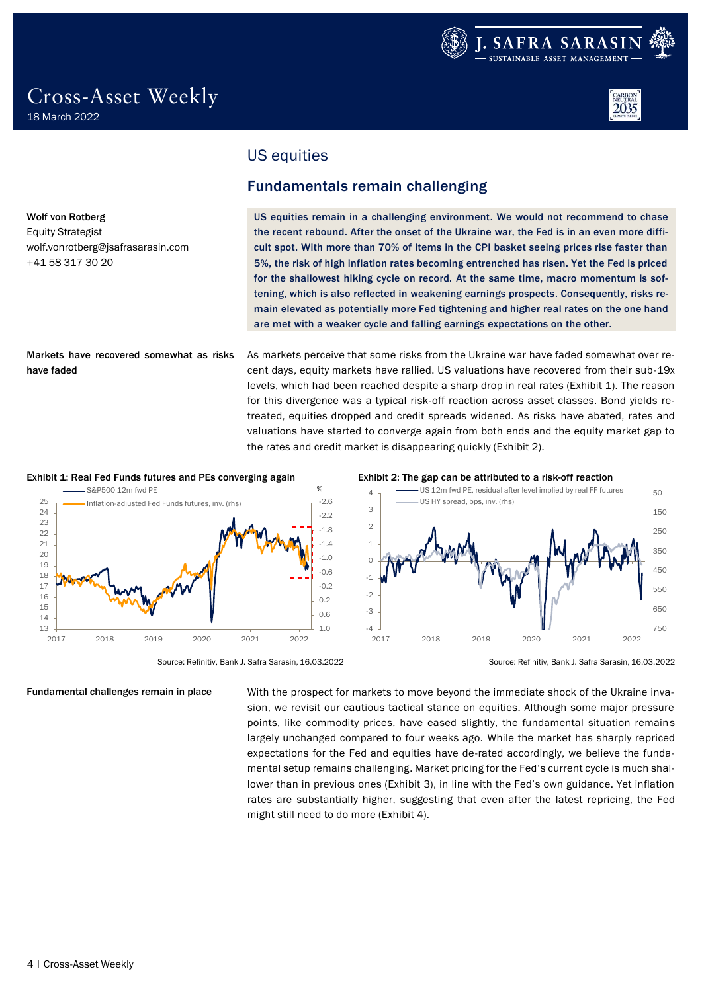

wolf.vonrotberg@jsafrasarasin.com

Wolf von Rotberg Equity Strategist

+41 58 317 30 20

have faded

## <span id="page-3-0"></span>US equities

## <span id="page-3-1"></span>Fundamentals remain challenging

US equities remain in a challenging environment. We would not recommend to chase the recent rebound. After the onset of the Ukraine war, the Fed is in an even more difficult spot. With more than 70% of items in the CPI basket seeing prices rise faster than 5%, the risk of high inflation rates becoming entrenched has risen. Yet the Fed is priced for the shallowest hiking cycle on record. At the same time, macro momentum is softening, which is also reflected in weakening earnings prospects. Consequently, risks remain elevated as potentially more Fed tightening and higher real rates on the one hand are met with a weaker cycle and falling earnings expectations on the other.

As markets perceive that some risks from the Ukraine war have faded somewhat over recent days, equity markets have rallied. US valuations have recovered from their sub-19x levels, which had been reached despite a sharp drop in real rates (Exhibit 1). The reason for this divergence was a typical risk-off reaction across asset classes. Bond yields retreated, equities dropped and credit spreads widened. As risks have abated, rates and valuations have started to converge again from both ends and the equity market gap to the rates and credit market is disappearing quickly (Exhibit 2). Markets have recovered somewhat as risks



Fundamental challenges remain in place

### Exhibit 1: Real Fed Funds futures and PEs converging again Exhibit 2: The gap can be attributed to a risk-off reaction



Source: Refinitiv, Bank J. Safra Sarasin, 16.03.2022 Source: Refinitiv, Bank J. Safra Sarasin, 16.03.2022

With the prospect for markets to move beyond the immediate shock of the Ukraine invasion, we revisit our cautious tactical stance on equities. Although some major pressure points, like commodity prices, have eased slightly, the fundamental situation remains largely unchanged compared to four weeks ago. While the market has sharply repriced expectations for the Fed and equities have de-rated accordingly, we believe the fundamental setup remains challenging. Market pricing for the Fed's current cycle is much shallower than in previous ones (Exhibit 3), in line with the Fed's own guidance. Yet inflation rates are substantially higher, suggesting that even after the latest repricing, the Fed might still need to do more (Exhibit 4).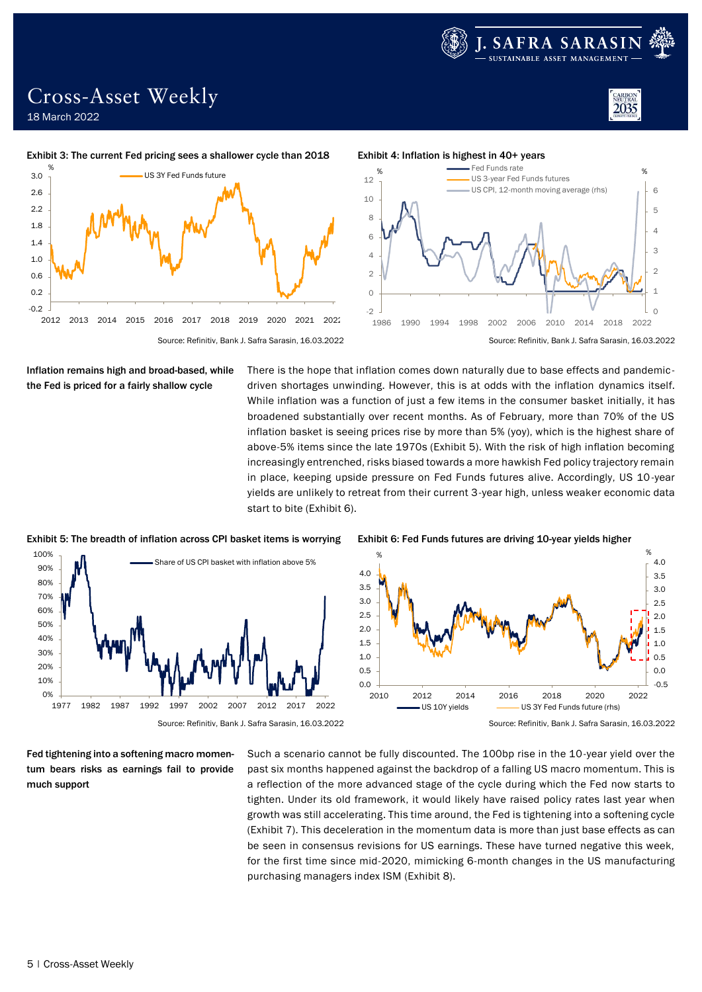

2035

## Cross-Asset Weekly 18 March 2022



### Exhibit 3: The current Fed pricing sees a shallower cycle than 2018 Exhibit 4: Inflation is highest in 40+ years





Inflation remains high and broad-based, while the Fed is priced for a fairly shallow cycle

There is the hope that inflation comes down naturally due to base effects and pandemicdriven shortages unwinding. However, this is at odds with the inflation dynamics itself. While inflation was a function of just a few items in the consumer basket initially, it has broadened substantially over recent months. As of February, more than 70% of the US inflation basket is seeing prices rise by more than 5% (yoy), which is the highest share of above-5% items since the late 1970s (Exhibit 5). With the risk of high inflation becoming increasingly entrenched, risks biased towards a more hawkish Fed policy trajectory remain in place, keeping upside pressure on Fed Funds futures alive. Accordingly, US 10-year yields are unlikely to retreat from their current 3-year high, unless weaker economic data start to bite (Exhibit 6).



Exhibit 5: The breadth of inflation across CPI basket items is worrying Exhibit 6: Fed Funds futures are driving 10-year yields higher

Fed tightening into a softening macro momentum bears risks as earnings fail to provide much support



Source: Refinitiv, Bank J. Safra Sarasin, 16.03.2022 Source: Refinitiv, Bank J. Safra Sarasin, 16.03.2022

Such a scenario cannot be fully discounted. The 100bp rise in the 10-year yield over the past six months happened against the backdrop of a falling US macro momentum. This is a reflection of the more advanced stage of the cycle during which the Fed now starts to tighten. Under its old framework, it would likely have raised policy rates last year when growth was still accelerating. This time around, the Fed is tightening into a softening cycle (Exhibit 7). This deceleration in the momentum data is more than just base effects as can be seen in consensus revisions for US earnings. These have turned negative this week, for the first time since mid-2020, mimicking 6-month changes in the US manufacturing purchasing managers index ISM (Exhibit 8).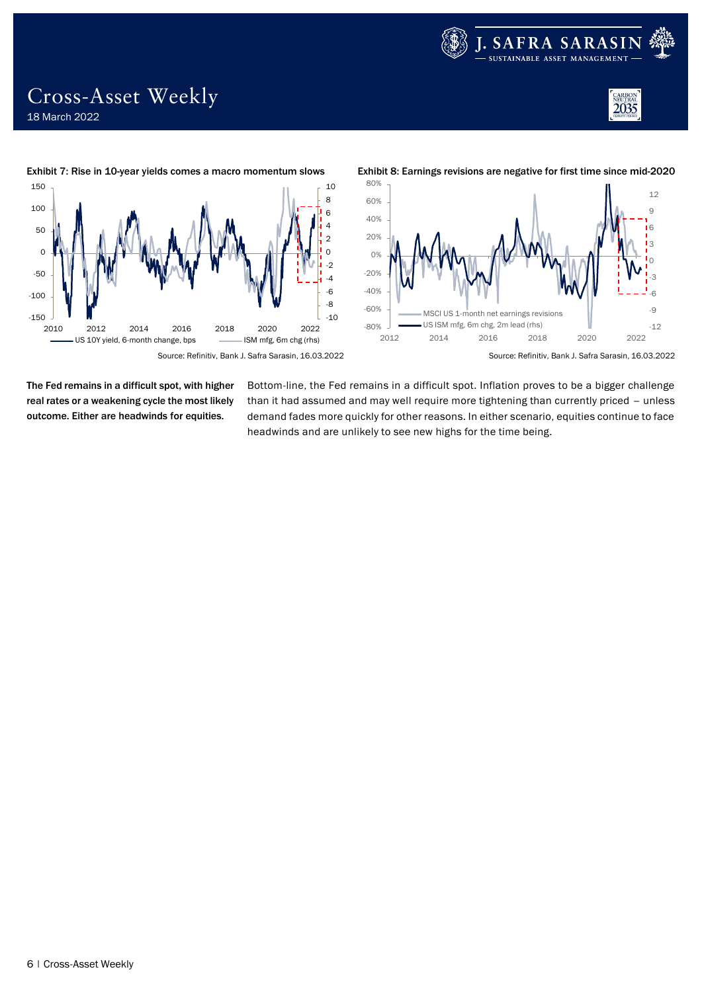







The Fed remains in a difficult spot, with higher real rates or a weakening cycle the most likely outcome. Either are headwinds for equities.

Cross-Asset Weekly

18 March 2022

Bottom-line, the Fed remains in a difficult spot. Inflation proves to be a bigger challenge than it had assumed and may well require more tightening than currently priced – unless demand fades more quickly for other reasons. In either scenario, equities continue to face headwinds and are unlikely to see new highs for the time being.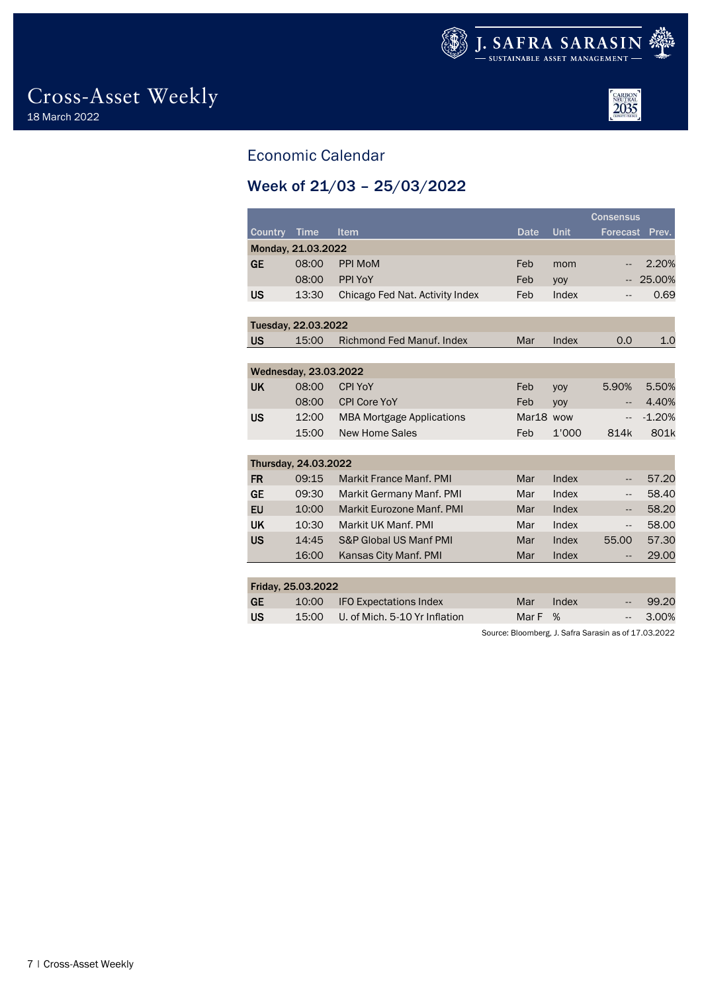



## <span id="page-6-0"></span>Economic Calendar

## <span id="page-6-1"></span>Week of 21/03 – 25/03/2022

|                    |                       |                                  | <b>Consensus</b> |             |                 |          |
|--------------------|-----------------------|----------------------------------|------------------|-------------|-----------------|----------|
| <b>Country</b>     | <b>Time</b>           | Item                             | <b>Date</b>      | <b>Unit</b> | <b>Forecast</b> | Prev.    |
|                    | Monday, 21.03.2022    |                                  |                  |             |                 |          |
| <b>GE</b>          | 08:00                 | <b>PPI MoM</b>                   | Feb              | mom         | --              | 2.20%    |
|                    | 08:00                 | PPI YoY                          | Feb              | yoy         | --              | 25.00%   |
| <b>US</b>          | 13:30                 | Chicago Fed Nat. Activity Index  | Feb              | Index       | $\cdots$        | 0.69     |
|                    |                       |                                  |                  |             |                 |          |
|                    | Tuesday, 22.03.2022   |                                  |                  |             |                 |          |
| <b>US</b>          | 15:00                 | <b>Richmond Fed Manuf, Index</b> | Mar              | Index       | 0.0             | 1.0      |
|                    |                       |                                  |                  |             |                 |          |
|                    | Wednesday, 23.03.2022 |                                  |                  |             |                 |          |
| <b>UK</b>          | 08:00                 | <b>CPI YoY</b>                   | Feb              | yoy         | 5.90%           | 5.50%    |
|                    | 08:00                 | <b>CPI Core YoY</b>              | Feb              | yoy         | $-$             | 4.40%    |
| US                 | 12:00                 | <b>MBA Mortgage Applications</b> | Mar18 wow        |             | Ξ.              | $-1.20%$ |
|                    | 15:00                 | <b>New Home Sales</b>            | Feb              | 1'000       | 814k            | 801k     |
|                    |                       |                                  |                  |             |                 |          |
|                    | Thursday, 24.03.2022  |                                  |                  |             |                 |          |
| <b>FR</b>          | 09:15                 | <b>Markit France Manf, PMI</b>   | Mar              | Index       | --              | 57.20    |
| <b>GE</b>          | 09:30                 | Markit Germany Manf. PMI         | Mar              | Index       | --              | 58.40    |
| EU                 | 10:00                 | Markit Eurozone Manf, PMI        | Mar              | Index       | --              | 58.20    |
| <b>UK</b>          | 10:30                 | Markit UK Manf, PMI              | Mar              | Index       | --              | 58.00    |
| <b>US</b>          | 14:45                 | S&P Global US Manf PMI           | Mar              | Index       | 55.00           | 57.30    |
|                    | 16:00                 | Kansas City Manf. PMI            | Mar              | Index       | --              | 29.00    |
|                    |                       |                                  |                  |             |                 |          |
| Friday, 25.03.2022 |                       |                                  |                  |             |                 |          |
| cЕ                 |                       | $10.00$ IEO Expectations Indox   | $M_{\rm}$        | Indov       |                 | ററ ററ    |

| GE | 10:00 IFO Expectations Index                    | Mar Index |  | $-99.20$  |
|----|-------------------------------------------------|-----------|--|-----------|
| US | $\setminus$ 15:00 U. of Mich. 5-10 Yr Inflation | Mar F %   |  | $-3.00\%$ |

Source: Bloomberg, J. Safra Sarasin as of 17.03.2022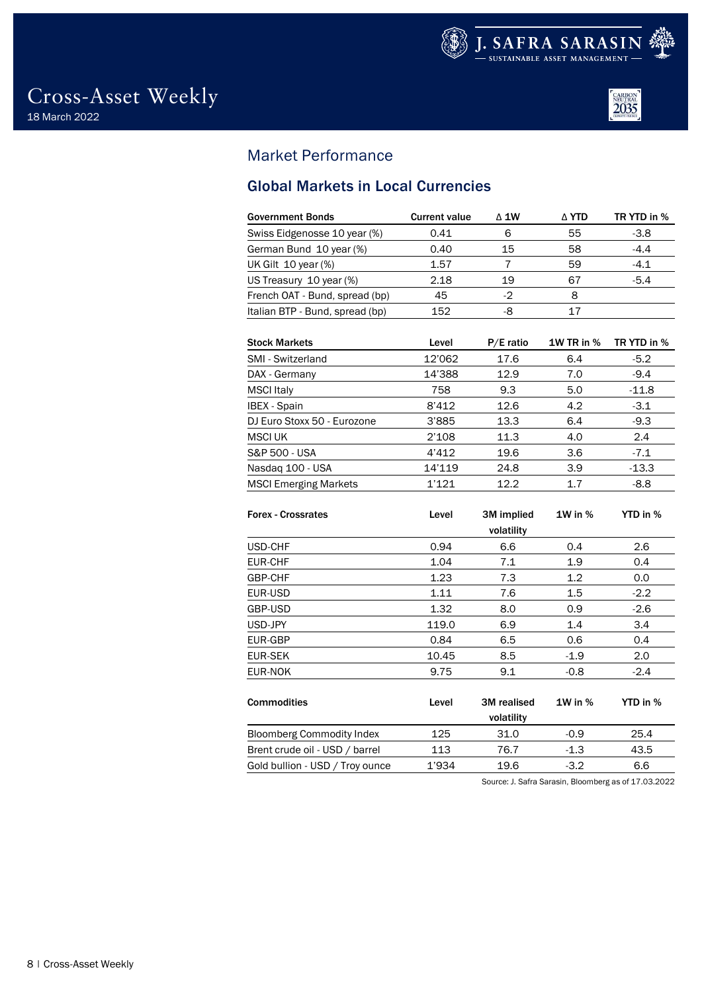



## <span id="page-7-0"></span>Market Performance

## <span id="page-7-1"></span>Global Markets in Local Currencies

| <b>Government Bonds</b>         | <b>Current value</b> | $\triangle$ 1W<br>∆ YTD |    | TR YTD in % |  |
|---------------------------------|----------------------|-------------------------|----|-------------|--|
| Swiss Eidgenosse 10 year (%)    | 0.41                 | 6                       | 55 | $-3.8$      |  |
| German Bund 10 year (%)         | 0.40                 | 15                      | 58 | $-4.4$      |  |
| UK Gilt 10 year (%)             | 1.57                 |                         | 59 | $-4.1$      |  |
| US Treasury 10 year (%)         | 2.18                 | 19                      | 67 | $-5.4$      |  |
| French OAT - Bund, spread (bp)  | 45                   | -2                      | 8  |             |  |
| Italian BTP - Bund, spread (bp) | 152                  | -8                      | 17 |             |  |
|                                 |                      |                         |    |             |  |

| <b>Stock Markets</b>         | Level  | $P/E$ ratio | <b>1W TR in %</b> | TR YTD in % |
|------------------------------|--------|-------------|-------------------|-------------|
| SMI - Switzerland            | 12'062 | 17.6        | 6.4               | $-5.2$      |
| DAX - Germany                | 14'388 | 12.9        | 7.0               | $-9.4$      |
| <b>MSCI</b> Italy            | 758    | 9.3         | 5.0               | $-11.8$     |
| <b>IBEX</b> - Spain          | 8'412  | 12.6        | 4.2               | $-3.1$      |
| DJ Euro Stoxx 50 - Eurozone  | 3'885  | 13.3        | 6.4               | $-9.3$      |
| <b>MSCI UK</b>               | 2'108  | 11.3        | 4.0               | 2.4         |
| S&P 500 - USA                | 4'412  | 19.6        | 3.6               | $-7.1$      |
| Nasdaq 100 - USA             | 14'119 | 24.8        | 3.9               | $-13.3$     |
| <b>MSCI Emerging Markets</b> | 1'121  | 12.2        | 17                | $-8.8$      |

| <b>Forex - Crossrates</b>        | Level | 3M implied<br>volatility | $1W$ in $%$ | YTD in % |
|----------------------------------|-------|--------------------------|-------------|----------|
| USD-CHF                          | 0.94  | 6.6                      | 0.4         | 2.6      |
| EUR-CHF                          | 1.04  | 7.1                      | 1.9         | 0.4      |
| GBP-CHF                          | 1.23  | 7.3                      | 1.2         | 0.0      |
| EUR-USD                          | 1.11  | 7.6                      | 1.5         | $-2.2$   |
| GBP-USD                          | 1.32  | 8.0                      | 0.9         | $-2.6$   |
| USD-JPY                          | 119.0 | 6.9                      | 1.4         | 3.4      |
| EUR-GBP                          | 0.84  | 6.5                      | 0.6         | 0.4      |
| EUR-SEK                          | 10.45 | 8.5                      | $-1.9$      | 2.0      |
| EUR-NOK                          | 9.75  | 9.1                      | $-0.8$      | $-2.4$   |
| <b>Commodities</b>               | Level | 3M realised              | $1W$ in $%$ | YTD in % |
|                                  |       | volatility               |             |          |
| <b>Bloomberg Commodity Index</b> | 125   | 31.0                     | $-0.9$      | 25.4     |
| Brent crude oil - USD / barrel   | 113   | 76.7                     | $-1.3$      | 43.5     |
| Gold bullion - USD / Troy ounce  | 1'934 | 19.6                     | $-3.2$      | 6.6      |

Source: J. Safra Sarasin, Bloomberg as of 17.03.2022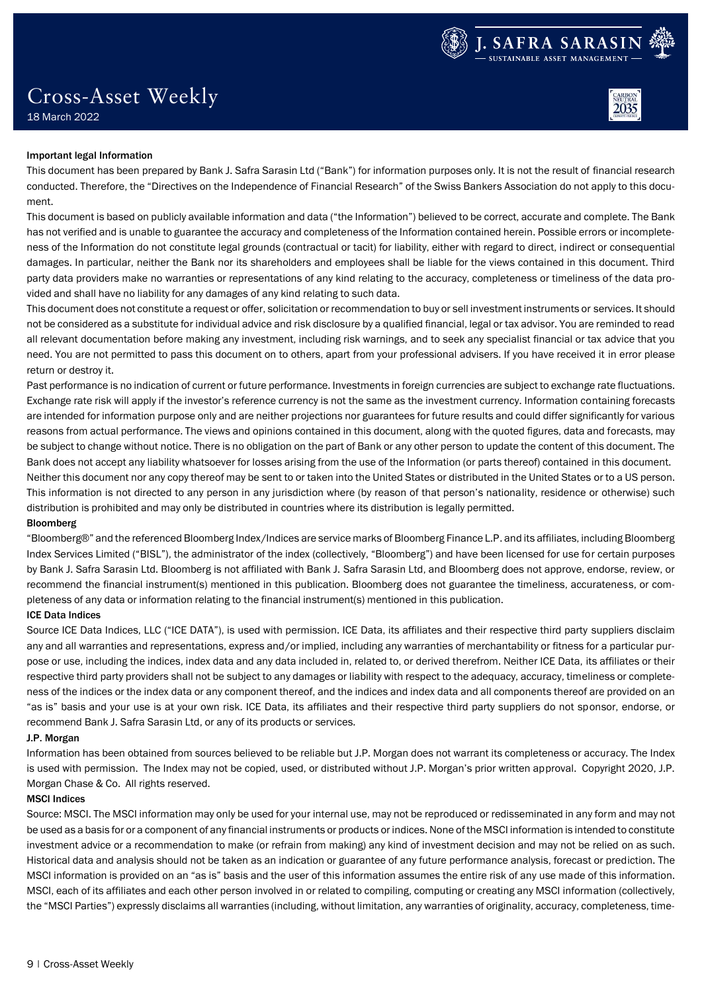

# Cross-Asset Weekly



## 18 March 2022

### Important legal Information

This document has been prepared by Bank J. Safra Sarasin Ltd ("Bank") for information purposes only. It is not the result of financial research conducted. Therefore, the "Directives on the Independence of Financial Research" of the Swiss Bankers Association do not apply to this document.

This document is based on publicly available information and data ("the Information") believed to be correct, accurate and complete. The Bank has not verified and is unable to guarantee the accuracy and completeness of the Information contained herein. Possible errors or incompleteness of the Information do not constitute legal grounds (contractual or tacit) for liability, either with regard to direct, indirect or consequential damages. In particular, neither the Bank nor its shareholders and employees shall be liable for the views contained in this document. Third party data providers make no warranties or representations of any kind relating to the accuracy, completeness or timeliness of the data provided and shall have no liability for any damages of any kind relating to such data.

This document does not constitute a request or offer, solicitation or recommendation to buy or sell investment instruments or services. It should not be considered as a substitute for individual advice and risk disclosure by a qualified financial, legal or tax advisor. You are reminded to read all relevant documentation before making any investment, including risk warnings, and to seek any specialist financial or tax advice that you need. You are not permitted to pass this document on to others, apart from your professional advisers. If you have received it in error please return or destroy it.

Past performance is no indication of current or future performance. Investments in foreign currencies are subject to exchange rate fluctuations. Exchange rate risk will apply if the investor's reference currency is not the same as the investment currency. Information containing forecasts are intended for information purpose only and are neither projections nor guarantees for future results and could differ significantly for various reasons from actual performance. The views and opinions contained in this document, along with the quoted figures, data and forecasts, may be subject to change without notice. There is no obligation on the part of Bank or any other person to update the content of this document. The Bank does not accept any liability whatsoever for losses arising from the use of the Information (or parts thereof) contained in this document. Neither this document nor any copy thereof may be sent to or taken into the United States or distributed in the United States or to a US person. This information is not directed to any person in any jurisdiction where (by reason of that person's nationality, residence or otherwise) such distribution is prohibited and may only be distributed in countries where its distribution is legally permitted.

### Bloomberg

"Bloomberg®" and the referenced Bloomberg Index/Indices are service marks of Bloomberg Finance L.P. and its affiliates, including Bloomberg Index Services Limited ("BISL"), the administrator of the index (collectively, "Bloomberg") and have been licensed for use for certain purposes by Bank J. Safra Sarasin Ltd. Bloomberg is not affiliated with Bank J. Safra Sarasin Ltd, and Bloomberg does not approve, endorse, review, or recommend the financial instrument(s) mentioned in this publication. Bloomberg does not guarantee the timeliness, accurateness, or completeness of any data or information relating to the financial instrument(s) mentioned in this publication.

### ICE Data Indices

Source ICE Data Indices, LLC ("ICE DATA"), is used with permission. ICE Data, its affiliates and their respective third party suppliers disclaim any and all warranties and representations, express and/or implied, including any warranties of merchantability or fitness for a particular purpose or use, including the indices, index data and any data included in, related to, or derived therefrom. Neither ICE Data, its affiliates or their respective third party providers shall not be subject to any damages or liability with respect to the adequacy, accuracy, timeliness or completeness of the indices or the index data or any component thereof, and the indices and index data and all components thereof are provided on an "as is" basis and your use is at your own risk. ICE Data, its affiliates and their respective third party suppliers do not sponsor, endorse, or recommend Bank J. Safra Sarasin Ltd, or any of its products or services.

### J.P. Morgan

Information has been obtained from sources believed to be reliable but J.P. Morgan does not warrant its completeness or accuracy. The Index is used with permission. The Index may not be copied, used, or distributed without J.P. Morgan's prior written approval. Copyright 2020, J.P. Morgan Chase & Co. All rights reserved.

### MSCI Indices

Source: MSCI. The MSCI information may only be used for your internal use, may not be reproduced or redisseminated in any form and may not be used as a basis for or a component of any financial instruments or products or indices. None of the MSCI information is intended to constitute investment advice or a recommendation to make (or refrain from making) any kind of investment decision and may not be relied on as such. Historical data and analysis should not be taken as an indication or guarantee of any future performance analysis, forecast or prediction. The MSCI information is provided on an "as is" basis and the user of this information assumes the entire risk of any use made of this information. MSCI, each of its affiliates and each other person involved in or related to compiling, computing or creating any MSCI information (collectively, the "MSCI Parties") expressly disclaims all warranties (including, without limitation, any warranties of originality, accuracy, completeness, time-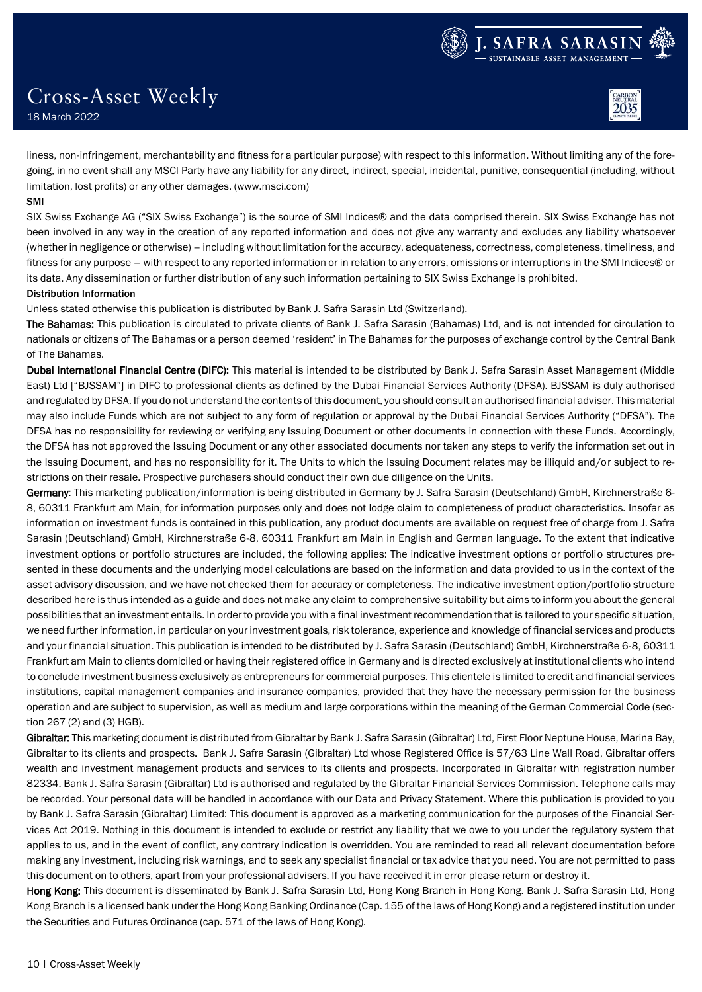Cross-Asset Weekly

18 March 2022

liness, non-infringement, merchantability and fitness for a particular purpose) with respect to this information. Without limiting any of the foregoing, in no event shall any MSCI Party have any liability for any direct, indirect, special, incidental, punitive, consequential (including, without limitation, lost profits) or any other damages. (www.msci.com)

### SMI

SIX Swiss Exchange AG ("SIX Swiss Exchange") is the source of SMI Indices® and the data comprised therein. SIX Swiss Exchange has not been involved in any way in the creation of any reported information and does not give any warranty and excludes any liability whatsoever (whether in negligence or otherwise) – including without limitation for the accuracy, adequateness, correctness, completeness, timeliness, and fitness for any purpose – with respect to any reported information or in relation to any errors, omissions or interruptions in the SMI Indices® or its data. Any dissemination or further distribution of any such information pertaining to SIX Swiss Exchange is prohibited. Distribution Information

Unless stated otherwise this publication is distributed by Bank J. Safra Sarasin Ltd (Switzerland).

The Bahamas: This publication is circulated to private clients of Bank J. Safra Sarasin (Bahamas) Ltd, and is not intended for circulation to nationals or citizens of The Bahamas or a person deemed 'resident' in The Bahamas for the purposes of exchange control by the Central Bank of The Bahamas.

Dubai International Financial Centre (DIFC): This material is intended to be distributed by Bank J. Safra Sarasin Asset Management (Middle East) Ltd ["BJSSAM"] in DIFC to professional clients as defined by the Dubai Financial Services Authority (DFSA). BJSSAM is duly authorised and regulated by DFSA. If you do not understand the contents of this document, you should consult an authorised financial adviser. This material may also include Funds which are not subject to any form of regulation or approval by the Dubai Financial Services Authority ("DFSA"). The DFSA has no responsibility for reviewing or verifying any Issuing Document or other documents in connection with these Funds. Accordingly, the DFSA has not approved the Issuing Document or any other associated documents nor taken any steps to verify the information set out in the Issuing Document, and has no responsibility for it. The Units to which the Issuing Document relates may be illiquid and/or subject to restrictions on their resale. Prospective purchasers should conduct their own due diligence on the Units.

Germany: This marketing publication/information is being distributed in Germany by J. Safra Sarasin (Deutschland) GmbH, Kirchnerstraße 6-8, 60311 Frankfurt am Main, for information purposes only and does not lodge claim to completeness of product characteristics. Insofar as information on investment funds is contained in this publication, any product documents are available on request free of charge from J. Safra Sarasin (Deutschland) GmbH, Kirchnerstraße 6-8, 60311 Frankfurt am Main in English and German language. To the extent that indicative investment options or portfolio structures are included, the following applies: The indicative investment options or portfolio structures presented in these documents and the underlying model calculations are based on the information and data provided to us in the context of the asset advisory discussion, and we have not checked them for accuracy or completeness. The indicative investment option/portfolio structure described here is thus intended as a guide and does not make any claim to comprehensive suitability but aims to inform you about the general possibilities that an investment entails. In order to provide you with a final investment recommendation that is tailored to your specific situation, we need further information, in particular on your investment goals, risk tolerance, experience and knowledge of financial services and products and your financial situation. This publication is intended to be distributed by J. Safra Sarasin (Deutschland) GmbH, Kirchnerstraße 6-8, 60311 Frankfurt am Main to clients domiciled or having their registered office in Germany and is directed exclusively at institutional clients who intend to conclude investment business exclusively as entrepreneurs for commercial purposes. This clientele is limited to credit and financial services institutions, capital management companies and insurance companies, provided that they have the necessary permission for the business operation and are subject to supervision, as well as medium and large corporations within the meaning of the German Commercial Code (section 267 (2) and (3) HGB).

Gibraltar: This marketing document is distributed from Gibraltar by Bank J. Safra Sarasin (Gibraltar) Ltd, First Floor Neptune House, Marina Bay, Gibraltar to its clients and prospects. Bank J. Safra Sarasin (Gibraltar) Ltd whose Registered Office is 57/63 Line Wall Road, Gibraltar offers wealth and investment management products and services to its clients and prospects. Incorporated in Gibraltar with registration number 82334. Bank J. Safra Sarasin (Gibraltar) Ltd is authorised and regulated by the Gibraltar Financial Services Commission. Telephone calls may be recorded. Your personal data will be handled in accordance with our Data and Privacy Statement. Where this publication is provided to you by Bank J. Safra Sarasin (Gibraltar) Limited: This document is approved as a marketing communication for the purposes of the Financial Services Act 2019. Nothing in this document is intended to exclude or restrict any liability that we owe to you under the regulatory system that applies to us, and in the event of conflict, any contrary indication is overridden. You are reminded to read all relevant documentation before making any investment, including risk warnings, and to seek any specialist financial or tax advice that you need. You are not permitted to pass this document on to others, apart from your professional advisers. If you have received it in error please return or destroy it.

Hong Kong: This document is disseminated by Bank J. Safra Sarasin Ltd, Hong Kong Branch in Hong Kong. Bank J. Safra Sarasin Ltd, Hong Kong Branch is a licensed bank under the Hong Kong Banking Ordinance (Cap. 155 of the laws of Hong Kong) and a registered institution under the Securities and Futures Ordinance (cap. 571 of the laws of Hong Kong).